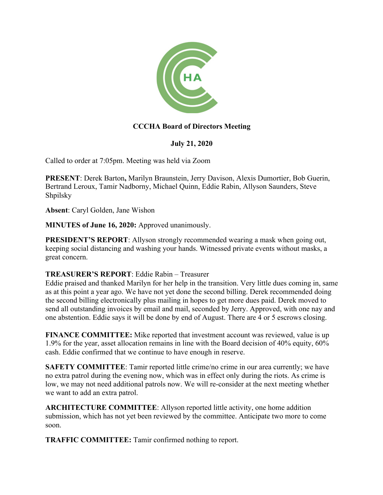

# **CCCHA Board of Directors Meeting**

### **July 21, 2020**

Called to order at 7:05pm. Meeting was held via Zoom

**PRESENT**: Derek Barton**,** Marilyn Braunstein, Jerry Davison, Alexis Dumortier, Bob Guerin, Bertrand Leroux, Tamir Nadborny, Michael Quinn, Eddie Rabin, Allyson Saunders, Steve Shpilsky

**Absent**: Caryl Golden, Jane Wishon

**MINUTES of June 16, 2020:** Approved unanimously.

**PRESIDENT'S REPORT:** Allyson strongly recommended wearing a mask when going out, keeping social distancing and washing your hands. Witnessed private events without masks, a great concern.

#### **TREASURER'S REPORT**: Eddie Rabin – Treasurer

Eddie praised and thanked Marilyn for her help in the transition. Very little dues coming in, same as at this point a year ago. We have not yet done the second billing. Derek recommended doing the second billing electronically plus mailing in hopes to get more dues paid. Derek moved to send all outstanding invoices by email and mail, seconded by Jerry. Approved, with one nay and one abstention. Eddie says it will be done by end of August. There are 4 or 5 escrows closing.

**FINANCE COMMITTEE:** Mike reported that investment account was reviewed, value is up 1.9% for the year, asset allocation remains in line with the Board decision of 40% equity, 60% cash. Eddie confirmed that we continue to have enough in reserve.

**SAFETY COMMITTEE:** Tamir reported little crime/no crime in our area currently; we have no extra patrol during the evening now, which was in effect only during the riots. As crime is low, we may not need additional patrols now. We will re-consider at the next meeting whether we want to add an extra patrol.

**ARCHITECTURE COMMITTEE**: Allyson reported little activity, one home addition submission, which has not yet been reviewed by the committee. Anticipate two more to come soon.

**TRAFFIC COMMITTEE:** Tamir confirmed nothing to report.